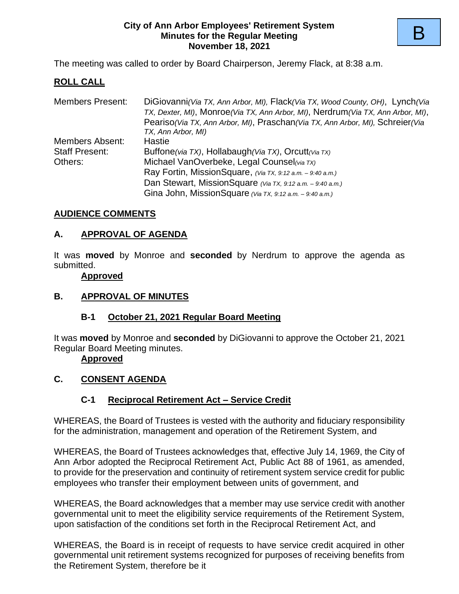#### **City of Ann Arbor Employees' Retirement System Minutes for the Regular Meeting November 18, 2021**

The meeting was called to order by Board Chairperson, Jeremy Flack, at 8:38 a.m.

## **ROLL CALL**

| <b>Members Present:</b> | DiGiovanni (Via TX, Ann Arbor, MI), Flack (Via TX, Wood County, OH), Lynch (Via<br>TX, Dexter, MI), Monroe (Via TX, Ann Arbor, MI), Nerdrum (Via TX, Ann Arbor, MI),<br>Peariso (Via TX, Ann Arbor, MI), Praschan (Via TX, Ann Arbor, MI), Schreier (Via<br>TX, Ann Arbor, MI) |  |  |  |  |
|-------------------------|--------------------------------------------------------------------------------------------------------------------------------------------------------------------------------------------------------------------------------------------------------------------------------|--|--|--|--|
| Members Absent:         | <b>Hastie</b>                                                                                                                                                                                                                                                                  |  |  |  |  |
| <b>Staff Present:</b>   | Buffone(via TX), Hollabaugh(Via TX), Orcutt(Via TX)                                                                                                                                                                                                                            |  |  |  |  |
| Others:                 | Michael VanOverbeke, Legal Counsel(via TX)                                                                                                                                                                                                                                     |  |  |  |  |
|                         | Ray Fortin, MissionSquare, (Via TX, 9:12 a.m. - 9:40 a.m.)                                                                                                                                                                                                                     |  |  |  |  |
|                         | Dan Stewart, MissionSquare (Via TX, 9:12 a.m. - 9:40 a.m.)                                                                                                                                                                                                                     |  |  |  |  |
|                         | Gina John, MissionSquare (Via TX, 9:12 a.m. - 9:40 a.m.)                                                                                                                                                                                                                       |  |  |  |  |

#### **AUDIENCE COMMENTS**

#### **A. APPROVAL OF AGENDA**

It was **moved** by Monroe and **seconded** by Nerdrum to approve the agenda as submitted.

#### **Approved**

#### **B. APPROVAL OF MINUTES**

#### **B-1 October 21, 2021 Regular Board Meeting**

It was **moved** by Monroe and **seconded** by DiGiovanni to approve the October 21, 2021 Regular Board Meeting minutes.

#### **Approved**

#### **C. CONSENT AGENDA**

#### **C-1 Reciprocal Retirement Act – Service Credit**

WHEREAS, the Board of Trustees is vested with the authority and fiduciary responsibility for the administration, management and operation of the Retirement System, and

WHEREAS, the Board of Trustees acknowledges that, effective July 14, 1969, the City of Ann Arbor adopted the Reciprocal Retirement Act, Public Act 88 of 1961, as amended, to provide for the preservation and continuity of retirement system service credit for public employees who transfer their employment between units of government, and

WHEREAS, the Board acknowledges that a member may use service credit with another governmental unit to meet the eligibility service requirements of the Retirement System, upon satisfaction of the conditions set forth in the Reciprocal Retirement Act, and

WHEREAS, the Board is in receipt of requests to have service credit acquired in other governmental unit retirement systems recognized for purposes of receiving benefits from the Retirement System, therefore be it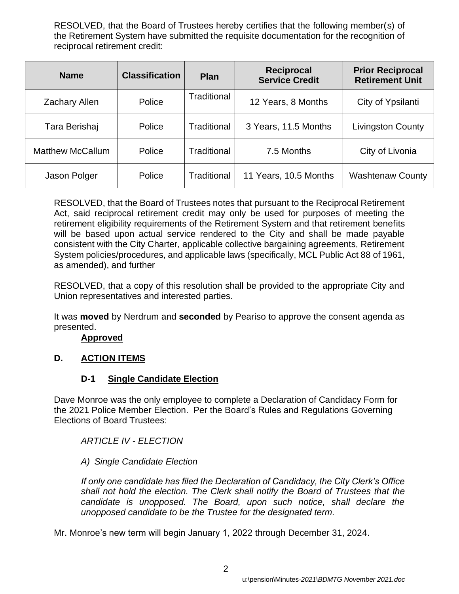RESOLVED, that the Board of Trustees hereby certifies that the following member(s) of the Retirement System have submitted the requisite documentation for the recognition of reciprocal retirement credit:

| <b>Name</b>             | <b>Classification</b> | <b>Plan</b> | <b>Reciprocal</b><br><b>Service Credit</b> | <b>Prior Reciprocal</b><br><b>Retirement Unit</b> |
|-------------------------|-----------------------|-------------|--------------------------------------------|---------------------------------------------------|
| <b>Zachary Allen</b>    | Police                | Traditional | 12 Years, 8 Months                         | City of Ypsilanti                                 |
| Tara Berishaj           | Police                | Traditional | 3 Years, 11.5 Months                       | <b>Livingston County</b>                          |
| <b>Matthew McCallum</b> | Police                | Traditional | 7.5 Months                                 | City of Livonia                                   |
| Jason Polger            | Police                | Traditional | 11 Years, 10.5 Months                      | <b>Washtenaw County</b>                           |

RESOLVED, that the Board of Trustees notes that pursuant to the Reciprocal Retirement Act, said reciprocal retirement credit may only be used for purposes of meeting the retirement eligibility requirements of the Retirement System and that retirement benefits will be based upon actual service rendered to the City and shall be made payable consistent with the City Charter, applicable collective bargaining agreements, Retirement System policies/procedures, and applicable laws (specifically, MCL Public Act 88 of 1961, as amended), and further

RESOLVED, that a copy of this resolution shall be provided to the appropriate City and Union representatives and interested parties.

It was **moved** by Nerdrum and **seconded** by Peariso to approve the consent agenda as presented.

#### **Approved**

## **D. ACTION ITEMS**

## **D-1 Single Candidate Election**

Dave Monroe was the only employee to complete a Declaration of Candidacy Form for the 2021 Police Member Election. Per the Board's Rules and Regulations Governing Elections of Board Trustees:

*ARTICLE IV - ELECTION*

## *A) Single Candidate Election*

*If only one candidate has filed the Declaration of Candidacy, the City Clerk's Office shall not hold the election. The Clerk shall notify the Board of Trustees that the candidate is unopposed. The Board, upon such notice, shall declare the unopposed candidate to be the Trustee for the designated term.*

Mr. Monroe's new term will begin January 1, 2022 through December 31, 2024.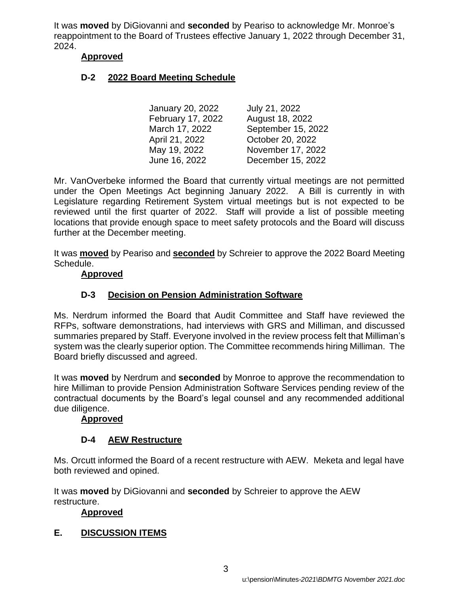It was **moved** by DiGiovanni and **seconded** by Peariso to acknowledge Mr. Monroe's reappointment to the Board of Trustees effective January 1, 2022 through December 31, 2024.

#### **Approved**

## **D-2 2022 Board Meeting Schedule**

January 20, 2022 July 21, 2022 February 17, 2022 August 18, 2022 March 17, 2022 September 15, 2022 April 21, 2022 October 20, 2022 May 19, 2022 November 17, 2022 June 16, 2022 December 15, 2022

Mr. VanOverbeke informed the Board that currently virtual meetings are not permitted under the Open Meetings Act beginning January 2022. A Bill is currently in with Legislature regarding Retirement System virtual meetings but is not expected to be reviewed until the first quarter of 2022. Staff will provide a list of possible meeting locations that provide enough space to meet safety protocols and the Board will discuss further at the December meeting.

It was **moved** by Peariso and **seconded** by Schreier to approve the 2022 Board Meeting Schedule.

#### **Approved**

## **D-3 Decision on Pension Administration Software**

Ms. Nerdrum informed the Board that Audit Committee and Staff have reviewed the RFPs, software demonstrations, had interviews with GRS and Milliman, and discussed summaries prepared by Staff. Everyone involved in the review process felt that Milliman's system was the clearly superior option. The Committee recommends hiring Milliman. The Board briefly discussed and agreed.

It was **moved** by Nerdrum and **seconded** by Monroe to approve the recommendation to hire Milliman to provide Pension Administration Software Services pending review of the contractual documents by the Board's legal counsel and any recommended additional due diligence.

#### **Approved**

## **D-4 AEW Restructure**

Ms. Orcutt informed the Board of a recent restructure with AEW. Meketa and legal have both reviewed and opined.

It was **moved** by DiGiovanni and **seconded** by Schreier to approve the AEW restructure.

## **Approved**

## **E. DISCUSSION ITEMS**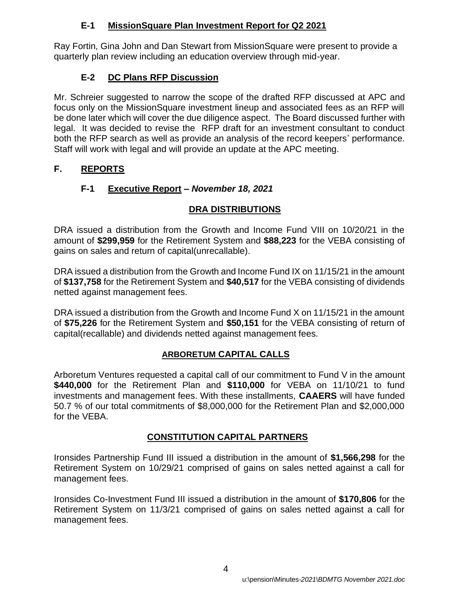## **E-1 MissionSquare Plan Investment Report for Q2 2021**

Ray Fortin, Gina John and Dan Stewart from MissionSquare were present to provide a quarterly plan review including an education overview through mid-year.

# **E-2 DC Plans RFP Discussion**

Mr. Schreier suggested to narrow the scope of the drafted RFP discussed at APC and focus only on the MissionSquare investment lineup and associated fees as an RFP will be done later which will cover the due diligence aspect. The Board discussed further with legal. It was decided to revise the RFP draft for an investment consultant to conduct both the RFP search as well as provide an analysis of the record keepers' performance. Staff will work with legal and will provide an update at the APC meeting.

# **F. REPORTS**

# **F-1 Executive Report** *– November 18, 2021*

# **DRA DISTRIBUTIONS**

DRA issued a distribution from the Growth and Income Fund VIII on 10/20/21 in the amount of **\$299,959** for the Retirement System and **\$88,223** for the VEBA consisting of gains on sales and return of capital(unrecallable).

DRA issued a distribution from the Growth and Income Fund IX on 11/15/21 in the amount of **\$137,758** for the Retirement System and **\$40,517** for the VEBA consisting of dividends netted against management fees.

DRA issued a distribution from the Growth and Income Fund X on 11/15/21 in the amount of **\$75,226** for the Retirement System and **\$50,151** for the VEBA consisting of return of capital(recallable) and dividends netted against management fees.

# **ARBORETUM CAPITAL CALLS**

Arboretum Ventures requested a capital call of our commitment to Fund V in the amount **\$440,000** for the Retirement Plan and **\$110,000** for VEBA on 11/10/21 to fund investments and management fees. With these installments, **CAAERS** will have funded 50.7 % of our total commitments of \$8,000,000 for the Retirement Plan and \$2,000,000 for the VEBA.

# **CONSTITUTION CAPITAL PARTNERS**

Ironsides Partnership Fund III issued a distribution in the amount of **\$1,566,298** for the Retirement System on 10/29/21 comprised of gains on sales netted against a call for management fees.

Ironsides Co-Investment Fund III issued a distribution in the amount of **\$170,806** for the Retirement System on 11/3/21 comprised of gains on sales netted against a call for management fees.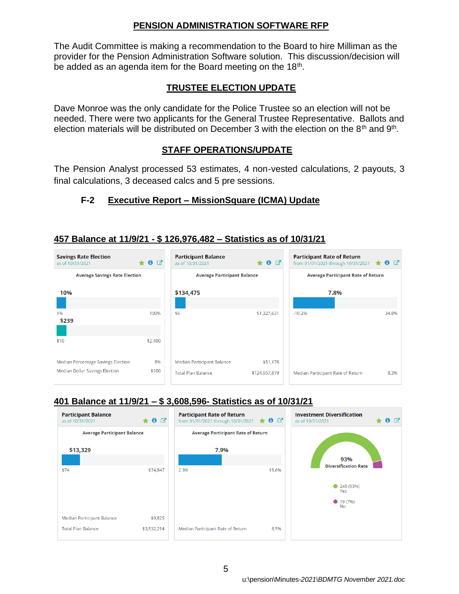#### **PENSION ADMINISTRATION SOFTWARE RFP**

The Audit Committee is making a recommendation to the Board to hire Milliman as the provider for the Pension Administration Software solution. This discussion/decision will be added as an agenda item for the Board meeting on the  $18<sup>th</sup>$ .

## **TRUSTEE ELECTION UPDATE**

Dave Monroe was the only candidate for the Police Trustee so an election will not be needed. There were two applicants for the General Trustee Representative. Ballots and election materials will be distributed on December 3 with the election on the 8<sup>th</sup> and 9<sup>th</sup>.

## **STAFF OPERATIONS/UPDATE**

The Pension Analyst processed 53 estimates, 4 non-vested calculations, 2 payouts, 3 final calculations, 3 deceased calcs and 5 pre sessions.

# **F-2 Executive Report – MissionSquare (ICMA) Update**

## **457 Balance at 11/9/21 - \$ 126,976,482 – Statistics as of 10/31/21**



## **401 Balance at 11/9/21 – \$ 3,608,596- Statistics as of 10/31/21**

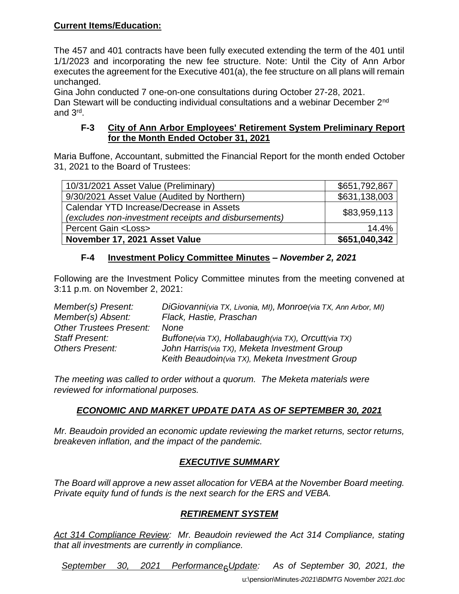## **Current Items/Education:**

The 457 and 401 contracts have been fully executed extending the term of the 401 until 1/1/2023 and incorporating the new fee structure. Note: Until the City of Ann Arbor executes the agreement for the Executive 401(a), the fee structure on all plans will remain unchanged.

Gina John conducted 7 one-on-one consultations during October 27-28, 2021. Dan Stewart will be conducting individual consultations and a webinar December 2<sup>nd</sup> and 3rd .

#### **F-3 City of Ann Arbor Employees' Retirement System Preliminary Report for the Month Ended October 31, 2021**

Maria Buffone, Accountant, submitted the Financial Report for the month ended October 31, 2021 to the Board of Trustees:

| 10/31/2021 Asset Value (Preliminary)                                                             | \$651,792,867 |
|--------------------------------------------------------------------------------------------------|---------------|
| 9/30/2021 Asset Value (Audited by Northern)                                                      | \$631,138,003 |
| Calendar YTD Increase/Decrease in Assets<br>(excludes non-investment receipts and disbursements) | \$83,959,113  |
| <b>Percent Gain <loss></loss></b>                                                                | 14.4%         |
| November 17, 2021 Asset Value                                                                    | \$651,040,342 |

## **F-4 Investment Policy Committee Minutes –** *November 2, 2021*

Following are the Investment Policy Committee minutes from the meeting convened at 3:11 p.m. on November 2, 2021:

*Member(s) Present: DiGiovanni(via TX, Livonia, MI), Monroe(via TX, Ann Arbor, MI) Member(s) Absent: Flack, Hastie, Praschan Other Trustees Present: None Staff Present: Buffone(via TX), Hollabaugh(via TX), Orcutt(via TX) Others Present: John Harris(via TX), Meketa Investment Group Keith Beaudoin(via TX), Meketa Investment Group*

*The meeting was called to order without a quorum. The Meketa materials were reviewed for informational purposes.*

# *ECONOMIC AND MARKET UPDATE DATA AS OF SEPTEMBER 30, 2021*

*Mr. Beaudoin provided an economic update reviewing the market returns, sector returns, breakeven inflation, and the impact of the pandemic.*

# *EXECUTIVE SUMMARY*

*The Board will approve a new asset allocation for VEBA at the November Board meeting. Private equity fund of funds is the next search for the ERS and VEBA.*

## *RETIREMENT SYSTEM*

*Act 314 Compliance Review: Mr. Beaudoin reviewed the Act 314 Compliance, stating that all investments are currently in compliance.*

2021 Performance<sub>R</sub>Update: *September 30, 2021 Performance Update: As of September 30, 2021, the*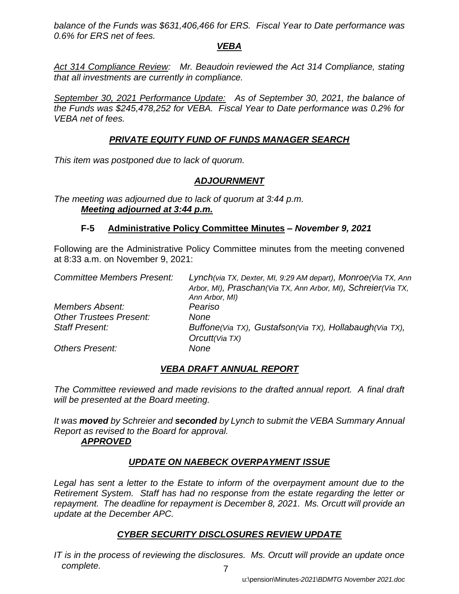*balance of the Funds was \$631,406,466 for ERS. Fiscal Year to Date performance was 0.6% for ERS net of fees.* 

#### *VEBA*

Act 314 Compliance Review: Mr. Beaudoin reviewed the Act 314 Compliance, stating *that all investments are currently in compliance.*

*September 30, 2021 Performance Update: As of September 30, 2021, the balance of the Funds was \$245,478,252 for VEBA. Fiscal Year to Date performance was 0.2% for VEBA net of fees.* 

## *PRIVATE EQUITY FUND OF FUNDS MANAGER SEARCH*

*This item was postponed due to lack of quorum.*

## *ADJOURNMENT*

*The meeting was adjourned due to lack of quorum at 3:44 p.m. Meeting adjourned at 3:44 p.m.*

#### **F-5 Administrative Policy Committee Minutes –** *November 9, 2021*

Following are the Administrative Policy Committee minutes from the meeting convened at 8:33 a.m. on November 9, 2021:

| <b>Committee Members Present:</b> | Lynch(via TX, Dexter, MI, 9:29 AM depart), Monroe(Via TX, Ann<br>Arbor, MI), Praschan(Via TX, Ann Arbor, MI), Schreier(Via TX, |  |  |  |  |
|-----------------------------------|--------------------------------------------------------------------------------------------------------------------------------|--|--|--|--|
|                                   | Ann Arbor, MI)                                                                                                                 |  |  |  |  |
| <b>Members Absent:</b>            | Peariso                                                                                                                        |  |  |  |  |
| <b>Other Trustees Present:</b>    | None                                                                                                                           |  |  |  |  |
| <b>Staff Present:</b>             | Buffone(Via TX), Gustafson(Via TX), Hollabaugh(Via TX),                                                                        |  |  |  |  |
|                                   | Orcutt(Via TX)                                                                                                                 |  |  |  |  |
| <b>Others Present:</b>            | None                                                                                                                           |  |  |  |  |

## *VEBA DRAFT ANNUAL REPORT*

*The Committee reviewed and made revisions to the drafted annual report. A final draft will be presented at the Board meeting.* 

*It was moved by Schreier and seconded by Lynch to submit the VEBA Summary Annual Report as revised to the Board for approval. APPROVED*

# *UPDATE ON NAEBECK OVERPAYMENT ISSUE*

Legal has sent a letter to the Estate to inform of the overpayment amount due to the *Retirement System. Staff has had no response from the estate regarding the letter or repayment. The deadline for repayment is December 8, 2021. Ms. Orcutt will provide an update at the December APC.*

## *CYBER SECURITY DISCLOSURES REVIEW UPDATE*

7 *IT is in the process of reviewing the disclosures. Ms. Orcutt will provide an update once complete.*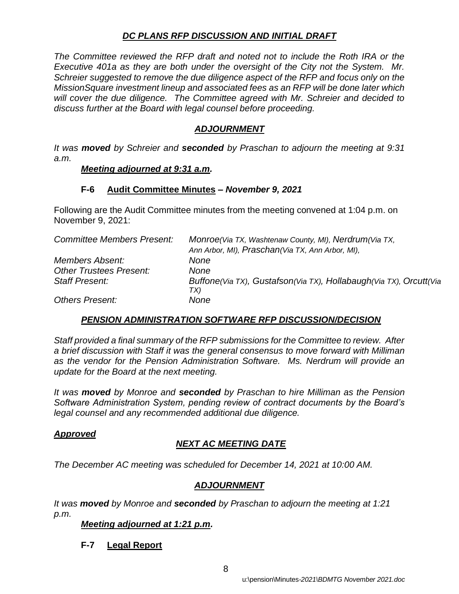#### *DC PLANS RFP DISCUSSION AND INITIAL DRAFT*

*The Committee reviewed the RFP draft and noted not to include the Roth IRA or the Executive 401a as they are both under the oversight of the City not the System. Mr. Schreier suggested to remove the due diligence aspect of the RFP and focus only on the MissionSquare investment lineup and associated fees as an RFP will be done later which will cover the due diligence. The Committee agreed with Mr. Schreier and decided to discuss further at the Board with legal counsel before proceeding.* 

## *ADJOURNMENT*

*It was moved by Schreier and seconded by Praschan to adjourn the meeting at 9:31 a.m.*

#### *Meeting adjourned at 9:31 a.m.*

#### **F-6 Audit Committee Minutes** *– November 9, 2021*

Following are the Audit Committee minutes from the meeting convened at 1:04 p.m. on November 9, 2021:

| <b>Committee Members Present:</b> | Monroe(Via TX, Washtenaw County, MI), Nerdrum(Via TX,<br>Ann Arbor, MI), Praschan (Via TX, Ann Arbor, MI), |
|-----------------------------------|------------------------------------------------------------------------------------------------------------|
| <b>Members Absent:</b>            | None                                                                                                       |
| <b>Other Trustees Present:</b>    | None                                                                                                       |
|                                   |                                                                                                            |
| <b>Staff Present:</b>             | Buffone(Via TX), Gustafson(Via TX), Hollabaugh(Via TX), Orcutt(Via<br>TX)                                  |
| <b>Others Present:</b>            | None                                                                                                       |

## *PENSION ADMINISTRATION SOFTWARE RFP DISCUSSION/DECISION*

*Staff provided a final summary of the RFP submissions for the Committee to review. After a brief discussion with Staff it was the general consensus to move forward with Milliman as the vendor for the Pension Administration Software. Ms. Nerdrum will provide an update for the Board at the next meeting.*

*It was moved by Monroe and seconded by Praschan to hire Milliman as the Pension Software Administration System, pending review of contract documents by the Board's legal counsel and any recommended additional due diligence.* 

#### *Approved*

## *NEXT AC MEETING DATE*

*The December AC meeting was scheduled for December 14, 2021 at 10:00 AM.*

## *ADJOURNMENT*

*It was moved by Monroe and seconded by Praschan to adjourn the meeting at 1:21 p.m.*

#### *Meeting adjourned at 1:21 p.m.*

**F-7 Legal Report**